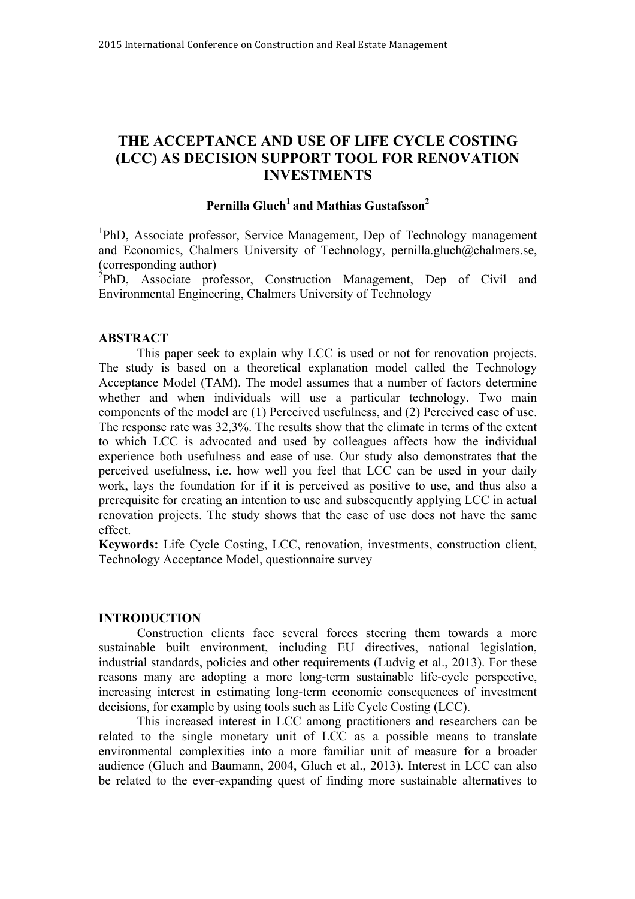# **THE ACCEPTANCE AND USE OF LIFE CYCLE COSTING (LCC) AS DECISION SUPPORT TOOL FOR RENOVATION INVESTMENTS**

# **Pernilla Gluch1 and Mathias Gustafsson2**

<sup>1</sup>PhD, Associate professor, Service Management, Dep of Technology management and Economics, Chalmers University of Technology, pernilla.gluch@chalmers.se, (corresponding author)

 $^{2}$ PhD, Associate professor, Construction Management, Dep of Civil and Environmental Engineering, Chalmers University of Technology

### **ABSTRACT**

This paper seek to explain why LCC is used or not for renovation projects. The study is based on a theoretical explanation model called the Technology Acceptance Model (TAM). The model assumes that a number of factors determine whether and when individuals will use a particular technology. Two main components of the model are (1) Perceived usefulness, and (2) Perceived ease of use. The response rate was 32,3%. The results show that the climate in terms of the extent to which LCC is advocated and used by colleagues affects how the individual experience both usefulness and ease of use. Our study also demonstrates that the perceived usefulness, i.e. how well you feel that LCC can be used in your daily work, lays the foundation for if it is perceived as positive to use, and thus also a prerequisite for creating an intention to use and subsequently applying LCC in actual renovation projects. The study shows that the ease of use does not have the same effect.

**Keywords:** Life Cycle Costing, LCC, renovation, investments, construction client, Technology Acceptance Model, questionnaire survey

#### **INTRODUCTION**

Construction clients face several forces steering them towards a more sustainable built environment, including EU directives, national legislation, industrial standards, policies and other requirements (Ludvig et al., 2013). For these reasons many are adopting a more long-term sustainable life-cycle perspective, increasing interest in estimating long-term economic consequences of investment decisions, for example by using tools such as Life Cycle Costing (LCC).

This increased interest in LCC among practitioners and researchers can be related to the single monetary unit of LCC as a possible means to translate environmental complexities into a more familiar unit of measure for a broader audience (Gluch and Baumann, 2004, Gluch et al., 2013). Interest in LCC can also be related to the ever-expanding quest of finding more sustainable alternatives to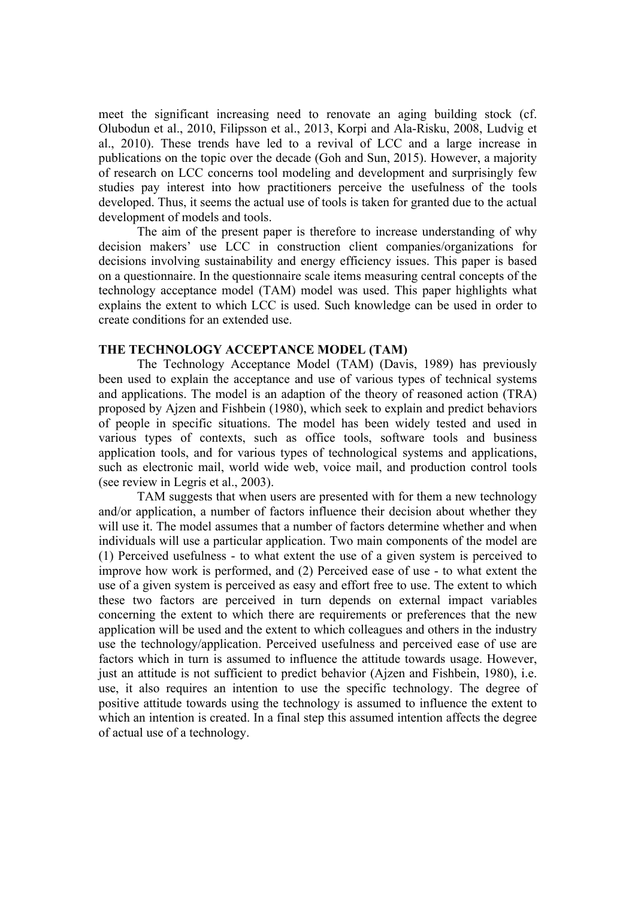meet the significant increasing need to renovate an aging building stock (cf. Olubodun et al., 2010, Filipsson et al., 2013, Korpi and Ala-Risku, 2008, Ludvig et al., 2010). These trends have led to a revival of LCC and a large increase in publications on the topic over the decade (Goh and Sun, 2015). However, a majority of research on LCC concerns tool modeling and development and surprisingly few studies pay interest into how practitioners perceive the usefulness of the tools developed. Thus, it seems the actual use of tools is taken for granted due to the actual development of models and tools.

The aim of the present paper is therefore to increase understanding of why decision makers' use LCC in construction client companies/organizations for decisions involving sustainability and energy efficiency issues. This paper is based on a questionnaire. In the questionnaire scale items measuring central concepts of the technology acceptance model (TAM) model was used. This paper highlights what explains the extent to which LCC is used. Such knowledge can be used in order to create conditions for an extended use.

## **THE TECHNOLOGY ACCEPTANCE MODEL (TAM)**

The Technology Acceptance Model (TAM) (Davis, 1989) has previously been used to explain the acceptance and use of various types of technical systems and applications. The model is an adaption of the theory of reasoned action (TRA) proposed by Ajzen and Fishbein (1980), which seek to explain and predict behaviors of people in specific situations. The model has been widely tested and used in various types of contexts, such as office tools, software tools and business application tools, and for various types of technological systems and applications, such as electronic mail, world wide web, voice mail, and production control tools (see review in Legris et al., 2003).

TAM suggests that when users are presented with for them a new technology and/or application, a number of factors influence their decision about whether they will use it. The model assumes that a number of factors determine whether and when individuals will use a particular application. Two main components of the model are (1) Perceived usefulness - to what extent the use of a given system is perceived to improve how work is performed, and (2) Perceived ease of use - to what extent the use of a given system is perceived as easy and effort free to use. The extent to which these two factors are perceived in turn depends on external impact variables concerning the extent to which there are requirements or preferences that the new application will be used and the extent to which colleagues and others in the industry use the technology/application. Perceived usefulness and perceived ease of use are factors which in turn is assumed to influence the attitude towards usage. However, just an attitude is not sufficient to predict behavior (Ajzen and Fishbein, 1980), i.e. use, it also requires an intention to use the specific technology. The degree of positive attitude towards using the technology is assumed to influence the extent to which an intention is created. In a final step this assumed intention affects the degree of actual use of a technology.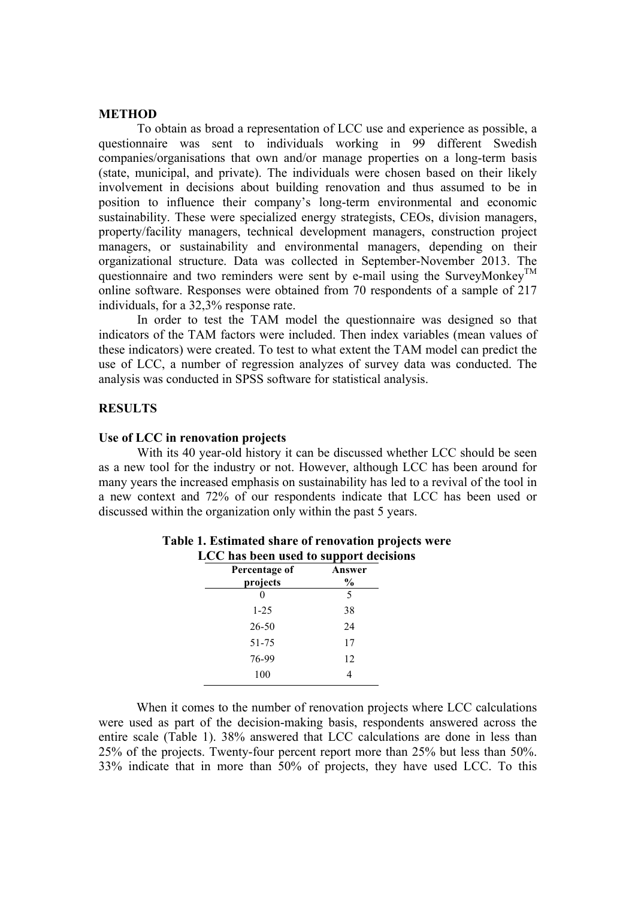#### **METHOD**

To obtain as broad a representation of LCC use and experience as possible, a questionnaire was sent to individuals working in 99 different Swedish companies/organisations that own and/or manage properties on a long-term basis (state, municipal, and private). The individuals were chosen based on their likely involvement in decisions about building renovation and thus assumed to be in position to influence their company's long-term environmental and economic sustainability. These were specialized energy strategists, CEOs, division managers, property/facility managers, technical development managers, construction project managers, or sustainability and environmental managers, depending on their organizational structure. Data was collected in September-November 2013. The questionnaire and two reminders were sent by e-mail using the SurveyMonkev<sup>TM</sup> online software. Responses were obtained from 70 respondents of a sample of 217 individuals, for a 32,3% response rate.

In order to test the TAM model the questionnaire was designed so that indicators of the TAM factors were included. Then index variables (mean values of these indicators) were created. To test to what extent the TAM model can predict the use of LCC, a number of regression analyzes of survey data was conducted. The analysis was conducted in SPSS software for statistical analysis.

#### **RESULTS**

#### **Use of LCC in renovation projects**

With its 40 year-old history it can be discussed whether LCC should be seen as a new tool for the industry or not. However, although LCC has been around for many years the increased emphasis on sustainability has led to a revival of the tool in a new context and 72% of our respondents indicate that LCC has been used or discussed within the organization only within the past 5 years.

| LUU has been used to support decisi |        |  |
|-------------------------------------|--------|--|
| Percentage of                       | Answer |  |
| projects                            | $\%$   |  |
|                                     | 5      |  |
| $1 - 25$                            | 38     |  |
| 26-50                               | 24     |  |
| 51-75                               | 17     |  |
| 76-99                               | 12     |  |
| 100                                 |        |  |

#### **Table 1. Estimated share of renovation projects were LCC has been used to support decisions**

When it comes to the number of renovation projects where LCC calculations were used as part of the decision-making basis, respondents answered across the entire scale (Table 1). 38% answered that LCC calculations are done in less than 25% of the projects. Twenty-four percent report more than 25% but less than 50%. 33% indicate that in more than 50% of projects, they have used LCC. To this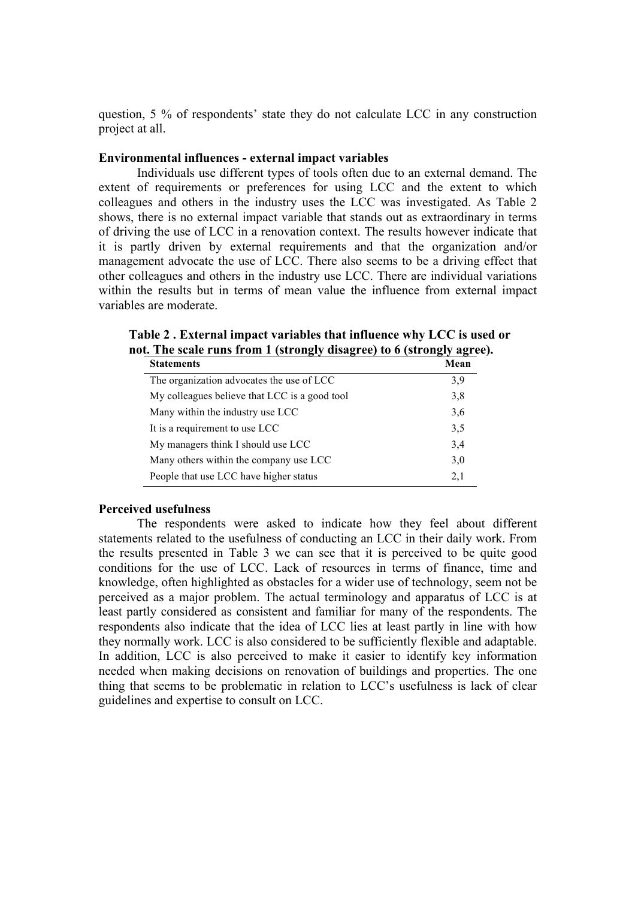question, 5 % of respondents' state they do not calculate LCC in any construction project at all.

#### **Environmental influences - external impact variables**

Individuals use different types of tools often due to an external demand. The extent of requirements or preferences for using LCC and the extent to which colleagues and others in the industry uses the LCC was investigated. As Table 2 shows, there is no external impact variable that stands out as extraordinary in terms of driving the use of LCC in a renovation context. The results however indicate that it is partly driven by external requirements and that the organization and/or management advocate the use of LCC. There also seems to be a driving effect that other colleagues and others in the industry use LCC. There are individual variations within the results but in terms of mean value the influence from external impact variables are moderate.

| <b>Statements</b>                             | Mean |
|-----------------------------------------------|------|
| The organization advocates the use of LCC     | 3,9  |
| My colleagues believe that LCC is a good tool | 3,8  |
| Many within the industry use LCC              | 3,6  |
| It is a requirement to use LCC                | 3,5  |
| My managers think I should use LCC            | 3,4  |
| Many others within the company use LCC        | 3,0  |
| People that use LCC have higher status        | 2,1  |

**Table 2 . External impact variables that influence why LCC is used or not. The scale runs from 1 (strongly disagree) to 6 (strongly agree).**

#### **Perceived usefulness**

The respondents were asked to indicate how they feel about different statements related to the usefulness of conducting an LCC in their daily work. From the results presented in Table 3 we can see that it is perceived to be quite good conditions for the use of LCC. Lack of resources in terms of finance, time and knowledge, often highlighted as obstacles for a wider use of technology, seem not be perceived as a major problem. The actual terminology and apparatus of LCC is at least partly considered as consistent and familiar for many of the respondents. The respondents also indicate that the idea of LCC lies at least partly in line with how they normally work. LCC is also considered to be sufficiently flexible and adaptable. In addition, LCC is also perceived to make it easier to identify key information needed when making decisions on renovation of buildings and properties. The one thing that seems to be problematic in relation to LCC's usefulness is lack of clear guidelines and expertise to consult on LCC.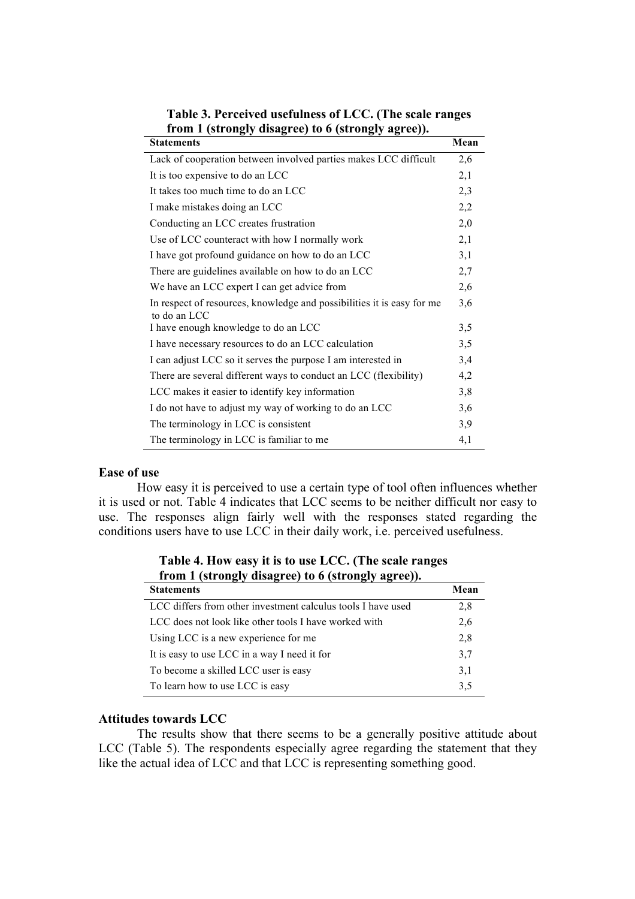| <b>Statements</b>                                                                      | Mean |
|----------------------------------------------------------------------------------------|------|
| Lack of cooperation between involved parties makes LCC difficult                       | 2,6  |
| It is too expensive to do an LCC                                                       | 2,1  |
| It takes too much time to do an LCC                                                    | 2,3  |
| I make mistakes doing an LCC                                                           | 2,2  |
| Conducting an LCC creates frustration                                                  | 2,0  |
| Use of LCC counteract with how I normally work                                         | 2,1  |
| I have got profound guidance on how to do an LCC                                       | 3,1  |
| There are guidelines available on how to do an LCC                                     | 2,7  |
| We have an LCC expert I can get advice from                                            | 2,6  |
| In respect of resources, knowledge and possibilities it is easy for me<br>to do an LCC | 3,6  |
| I have enough knowledge to do an LCC                                                   | 3,5  |
| I have necessary resources to do an LCC calculation                                    | 3,5  |
| I can adjust LCC so it serves the purpose I am interested in                           | 3,4  |
| There are several different ways to conduct an LCC (flexibility)                       | 4,2  |
| LCC makes it easier to identify key information                                        | 3,8  |
| I do not have to adjust my way of working to do an LCC                                 | 3,6  |
| The terminology in LCC is consistent                                                   | 3,9  |
| The terminology in LCC is familiar to me                                               | 4,1  |

**Table 3. Perceived usefulness of LCC. (The scale ranges from 1 (strongly disagree) to 6 (strongly agree)).**

#### **Ease of use**

How easy it is perceived to use a certain type of tool often influences whether it is used or not. Table 4 indicates that LCC seems to be neither difficult nor easy to use. The responses align fairly well with the responses stated regarding the conditions users have to use LCC in their daily work, i.e. perceived usefulness.

| <b>Statements</b>                                            | Mean |
|--------------------------------------------------------------|------|
| LCC differs from other investment calculus tools I have used | 2,8  |
| LCC does not look like other tools I have worked with        | 2,6  |
| Using LCC is a new experience for me                         | 2,8  |
| It is easy to use LCC in a way I need it for                 | 3,7  |
| To become a skilled LCC user is easy                         | 3,1  |
| To learn how to use LCC is easy                              | 3,5  |

**Table 4. How easy it is to use LCC. (The scale ranges from 1 (strongly disagree) to 6 (strongly agree)).**

#### **Attitudes towards LCC**

The results show that there seems to be a generally positive attitude about LCC (Table 5). The respondents especially agree regarding the statement that they like the actual idea of LCC and that LCC is representing something good.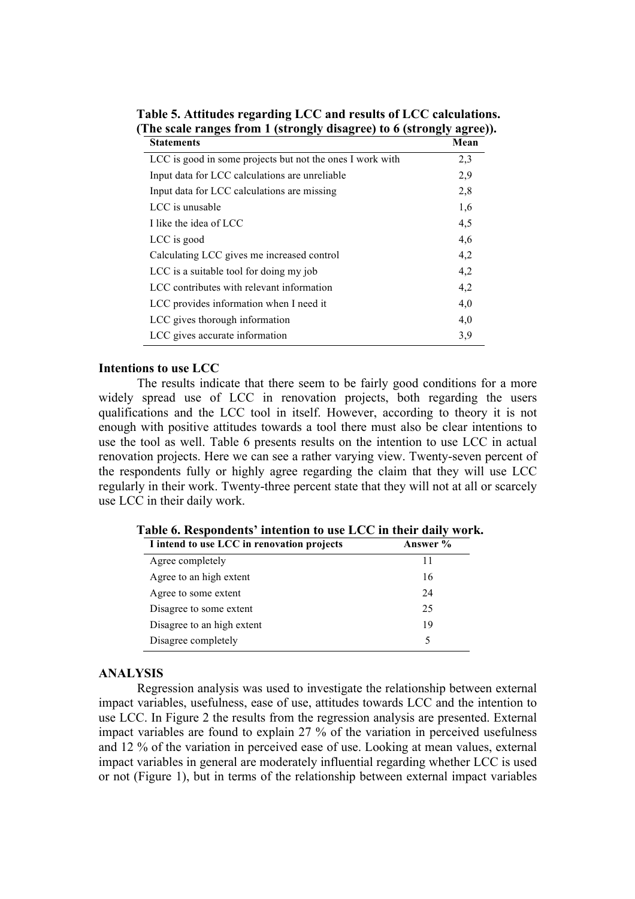| <b>Statements</b>                                         | Mean |
|-----------------------------------------------------------|------|
| LCC is good in some projects but not the ones I work with | 2,3  |
| Input data for LCC calculations are unreliable.           | 2,9  |
| Input data for LCC calculations are missing               | 2,8  |
| LCC is unusable                                           | 1,6  |
| I like the idea of LCC                                    | 4,5  |
| LCC is good                                               | 4,6  |
| Calculating LCC gives me increased control                | 4,2  |
| LCC is a suitable tool for doing my job                   | 4,2  |
| LCC contributes with relevant information                 | 4,2  |
| LCC provides information when I need it                   | 4,0  |
| LCC gives thorough information                            | 4,0  |
| LCC gives accurate information                            | 3,9  |

**Table 5. Attitudes regarding LCC and results of LCC calculations. (The scale ranges from 1 (strongly disagree) to 6 (strongly agree)).**

#### **Intentions to use LCC**

The results indicate that there seem to be fairly good conditions for a more widely spread use of LCC in renovation projects, both regarding the users qualifications and the LCC tool in itself. However, according to theory it is not enough with positive attitudes towards a tool there must also be clear intentions to use the tool as well. Table 6 presents results on the intention to use LCC in actual renovation projects. Here we can see a rather varying view. Twenty-seven percent of the respondents fully or highly agree regarding the claim that they will use LCC regularly in their work. Twenty-three percent state that they will not at all or scarcely use LCC in their daily work.

**Table 6. Respondents' intention to use LCC in their daily work.** 

#### **ANALYSIS**

Regression analysis was used to investigate the relationship between external impact variables, usefulness, ease of use, attitudes towards LCC and the intention to use LCC. In Figure 2 the results from the regression analysis are presented. External impact variables are found to explain 27 % of the variation in perceived usefulness and 12 % of the variation in perceived ease of use. Looking at mean values, external impact variables in general are moderately influential regarding whether LCC is used or not (Figure 1), but in terms of the relationship between external impact variables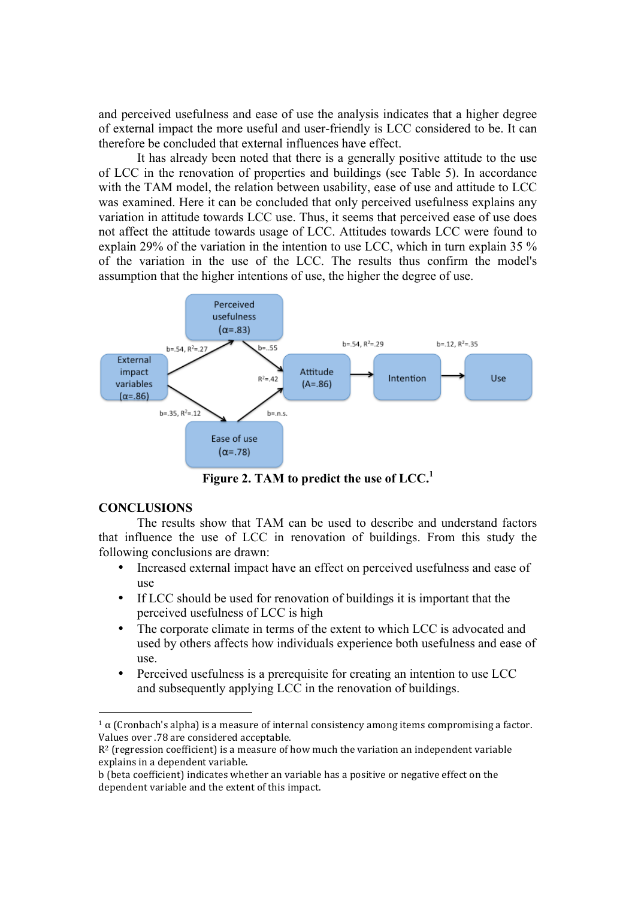and perceived usefulness and ease of use the analysis indicates that a higher degree of external impact the more useful and user-friendly is LCC considered to be. It can therefore be concluded that external influences have effect.

It has already been noted that there is a generally positive attitude to the use of LCC in the renovation of properties and buildings (see Table 5). In accordance with the TAM model, the relation between usability, ease of use and attitude to LCC was examined. Here it can be concluded that only perceived usefulness explains any variation in attitude towards LCC use. Thus, it seems that perceived ease of use does not affect the attitude towards usage of LCC. Attitudes towards LCC were found to explain 29% of the variation in the intention to use LCC, which in turn explain 35 % of the variation in the use of the LCC. The results thus confirm the model's assumption that the higher intentions of use, the higher the degree of use.



**Figure 2. TAM to predict the use of LCC.1**

# **CONCLUSIONS**

 

The results show that TAM can be used to describe and understand factors that influence the use of LCC in renovation of buildings. From this study the following conclusions are drawn:

- Increased external impact have an effect on perceived usefulness and ease of use
- If LCC should be used for renovation of buildings it is important that the perceived usefulness of LCC is high
- The corporate climate in terms of the extent to which LCC is advocated and used by others affects how individuals experience both usefulness and ease of use.
- Perceived usefulness is a prerequisite for creating an intention to use LCC and subsequently applying LCC in the renovation of buildings.

<sup>&</sup>lt;sup>1</sup> α (Cronbach's alpha) is a measure of internal consistency among items compromising a factor. Values over .78 are considered acceptable.

 $R^2$  (regression coefficient) is a measure of how much the variation an independent variable explains in a dependent variable.

b (beta coefficient) indicates whether an variable has a positive or negative effect on the dependent variable and the extent of this impact.